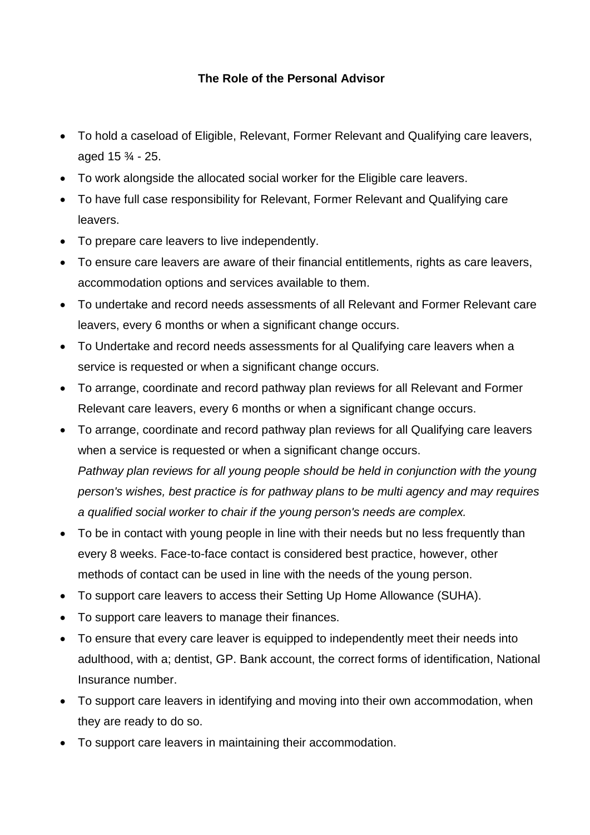## **The Role of the Personal Advisor**

- To hold a caseload of Eligible, Relevant, Former Relevant and Qualifying care leavers, aged 15 ¾ - 25.
- To work alongside the allocated social worker for the Eligible care leavers.
- To have full case responsibility for Relevant, Former Relevant and Qualifying care leavers.
- To prepare care leavers to live independently.
- To ensure care leavers are aware of their financial entitlements, rights as care leavers, accommodation options and services available to them.
- To undertake and record needs assessments of all Relevant and Former Relevant care leavers, every 6 months or when a significant change occurs.
- To Undertake and record needs assessments for al Qualifying care leavers when a service is requested or when a significant change occurs.
- To arrange, coordinate and record pathway plan reviews for all Relevant and Former Relevant care leavers, every 6 months or when a significant change occurs.
- To arrange, coordinate and record pathway plan reviews for all Qualifying care leavers when a service is requested or when a significant change occurs. *Pathway plan reviews for all young people should be held in conjunction with the young person's wishes, best practice is for pathway plans to be multi agency and may requires a qualified social worker to chair if the young person's needs are complex.*
- To be in contact with young people in line with their needs but no less frequently than every 8 weeks. Face-to-face contact is considered best practice, however, other methods of contact can be used in line with the needs of the young person.
- To support care leavers to access their Setting Up Home Allowance (SUHA).
- To support care leavers to manage their finances.
- To ensure that every care leaver is equipped to independently meet their needs into adulthood, with a; dentist, GP. Bank account, the correct forms of identification, National Insurance number.
- To support care leavers in identifying and moving into their own accommodation, when they are ready to do so.
- To support care leavers in maintaining their accommodation.